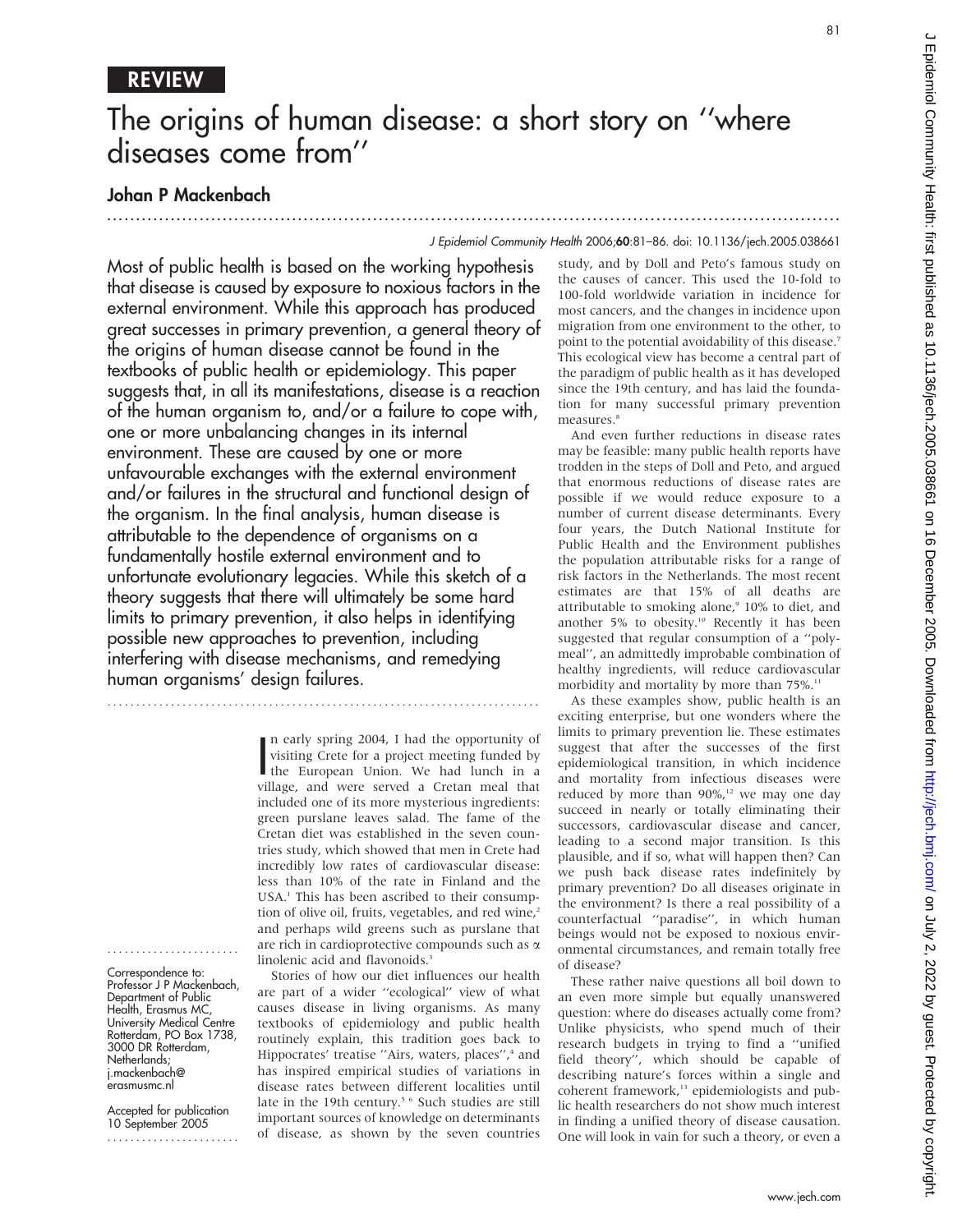# REVIEW

# The origins of human disease: a short story on ''where diseases come from''

...............................................................................................................................

## Johan P Mackenbach

#### J Epidemiol Community Health 2006;60:81–86. doi: 10.1136/jech.2005.038661

Most of public health is based on the working hypothesis that disease is caused by exposure to noxious factors in the external environment. While this approach has produced great successes in primary prevention, a general theory of the origins of human disease cannot be found in the textbooks of public health or epidemiology. This paper suggests that, in all its manifestations, disease is a reaction of the human organism to, and/or a failure to cope with, one or more unbalancing changes in its internal environment. These are caused by one or more unfavourable exchanges with the external environment and/or failures in the structural and functional design of the organism. In the final analysis, human disease is attributable to the dependence of organisms on a fundamentally hostile external environment and to unfortunate evolutionary legacies. While this sketch of a theory suggests that there will ultimately be some hard limits to primary prevention, it also helps in identifying possible new approaches to prevention, including interfering with disease mechanisms, and remedying human organisms' design failures.

...........................................................................

In early spring 2004, I had the opportunity of<br>visiting Crete for a project meeting funded by<br>the European Union. We had lunch in a<br>village and wave sexual a Creten meal that n early spring 2004, I had the opportunity of visiting Crete for a project meeting funded by village, and were served a Cretan meal that included one of its more mysterious ingredients: green purslane leaves salad. The fame of the Cretan diet was established in the seven countries study, which showed that men in Crete had incredibly low rates of cardiovascular disease: less than 10% of the rate in Finland and the USA.<sup>1</sup> This has been ascribed to their consumption of olive oil, fruits, vegetables, and red wine,<sup>2</sup> and perhaps wild greens such as purslane that are rich in cardioprotective compounds such as  $\alpha$ linolenic acid and flavonoids.<sup>3</sup>

Stories of how our diet influences our health are part of a wider ''ecological'' view of what causes disease in living organisms. As many textbooks of epidemiology and public health routinely explain, this tradition goes back to Hippocrates' treatise "Airs, waters, places",<sup>4</sup> and has inspired empirical studies of variations in disease rates between different localities until late in the 19th century.<sup>5 6</sup> Such studies are still important sources of knowledge on determinants of disease, as shown by the seven countries

study, and by Doll and Peto's famous study on the causes of cancer. This used the 10-fold to 100-fold worldwide variation in incidence for most cancers, and the changes in incidence upon migration from one environment to the other, to point to the potential avoidability of this disease.<sup>7</sup> This ecological view has become a central part of the paradigm of public health as it has developed since the 19th century, and has laid the foundation for many successful primary prevention measures.<sup>8</sup>

And even further reductions in disease rates may be feasible: many public health reports have trodden in the steps of Doll and Peto, and argued that enormous reductions of disease rates are possible if we would reduce exposure to a number of current disease determinants. Every four years, the Dutch National Institute for Public Health and the Environment publishes the population attributable risks for a range of risk factors in the Netherlands. The most recent estimates are that 15% of all deaths are attributable to smoking alone,<sup>9</sup> 10% to diet, and another 5% to obesity.<sup>10</sup> Recently it has been suggested that regular consumption of a ''polymeal'', an admittedly improbable combination of healthy ingredients, will reduce cardiovascular morbidity and mortality by more than 75%.<sup>11</sup>

As these examples show, public health is an exciting enterprise, but one wonders where the limits to primary prevention lie. These estimates suggest that after the successes of the first epidemiological transition, in which incidence and mortality from infectious diseases were reduced by more than  $90\%$ ,<sup>12</sup> we may one day succeed in nearly or totally eliminating their successors, cardiovascular disease and cancer, leading to a second major transition. Is this plausible, and if so, what will happen then? Can we push back disease rates indefinitely by primary prevention? Do all diseases originate in the environment? Is there a real possibility of a counterfactual ''paradise'', in which human beings would not be exposed to noxious environmental circumstances, and remain totally free of disease?

These rather naive questions all boil down to an even more simple but equally unanswered question: where do diseases actually come from? Unlike physicists, who spend much of their research budgets in trying to find a ''unified field theory'', which should be capable of describing nature's forces within a single and coherent framework,<sup>13</sup> epidemiologists and public health researchers do not show much interest in finding a unified theory of disease causation. One will look in vain for such a theory, or even a

Correspondence to: Professor J P Mackenbach, Department of Public Health, Erasmus MC, University Medical Centre Rotterdam, PO Box 1738, 3000 DR Rotterdam, Netherlands; j.mackenbach@ erasmusmc.nl

.......................

Accepted for publication 10 September 2005 .......................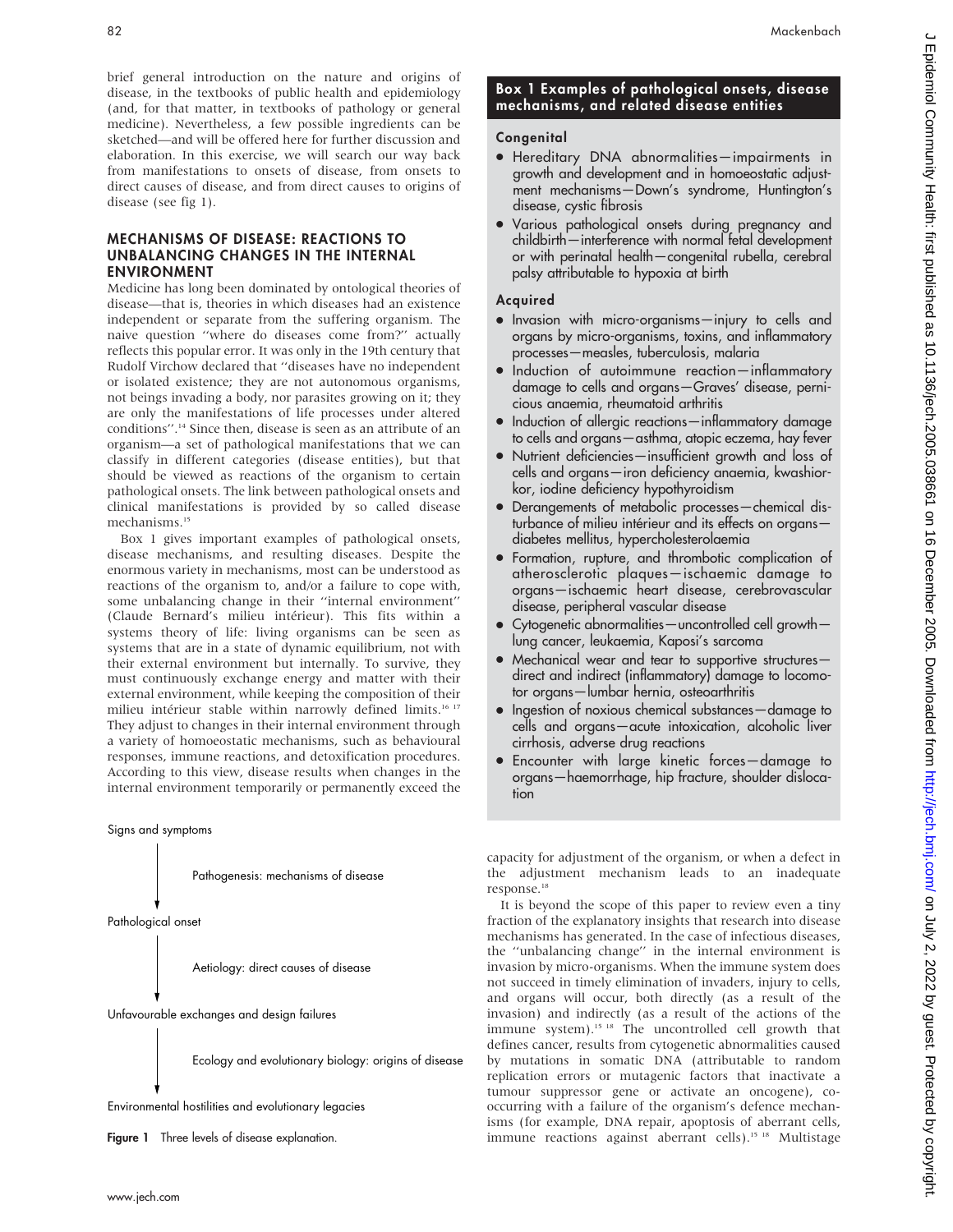brief general introduction on the nature and origins of disease, in the textbooks of public health and epidemiology (and, for that matter, in textbooks of pathology or general medicine). Nevertheless, a few possible ingredients can be sketched—and will be offered here for further discussion and elaboration. In this exercise, we will search our way back from manifestations to onsets of disease, from onsets to direct causes of disease, and from direct causes to origins of disease (see fig 1).

#### MECHANISMS OF DISEASE: REACTIONS TO UNBALANCING CHANGES IN THE INTERNAL ENVIRONMENT

Medicine has long been dominated by ontological theories of disease—that is, theories in which diseases had an existence independent or separate from the suffering organism. The naive question ''where do diseases come from?'' actually reflects this popular error. It was only in the 19th century that Rudolf Virchow declared that ''diseases have no independent or isolated existence; they are not autonomous organisms, not beings invading a body, nor parasites growing on it; they are only the manifestations of life processes under altered conditions''.14 Since then, disease is seen as an attribute of an organism—a set of pathological manifestations that we can classify in different categories (disease entities), but that should be viewed as reactions of the organism to certain pathological onsets. The link between pathological onsets and clinical manifestations is provided by so called disease mechanisms.<sup>15</sup>

Box 1 gives important examples of pathological onsets, disease mechanisms, and resulting diseases. Despite the enormous variety in mechanisms, most can be understood as reactions of the organism to, and/or a failure to cope with, some unbalancing change in their ''internal environment'' (Claude Bernard's milieu intérieur). This fits within a systems theory of life: living organisms can be seen as systems that are in a state of dynamic equilibrium, not with their external environment but internally. To survive, they must continuously exchange energy and matter with their external environment, while keeping the composition of their milieu intérieur stable within narrowly defined limits.<sup>16 17</sup> They adjust to changes in their internal environment through a variety of homoeostatic mechanisms, such as behavioural responses, immune reactions, and detoxification procedures. According to this view, disease results when changes in the internal environment temporarily or permanently exceed the

Signs and symptoms

Pathogenesis: mechanisms of disease

Pathological onset

Aetiology: direct causes of disease

Unfavourable exchanges and design failures

Ecology and evolutionary biology: origins of disease

Environmental hostilities and evolutionary legacies

Figure 1 Three levels of disease explanation.

## Box 1 Examples of pathological onsets, disease mechanisms, and related disease entities

## Congenital

- N Hereditary DNA abnormalities—impairments in growth and development and in homoeostatic adjustment mechanisms—Down's syndrome, Huntington's disease, cystic fibrosis
- . Various pathological onsets during pregnancy and childbirth—interference with normal fetal development or with perinatal health—congenital rubella, cerebral palsy attributable to hypoxia at birth

## Acquired

- Invasion with micro-organisms—injury to cells and organs by micro-organisms, toxins, and inflammatory processes—measles, tuberculosis, malaria
- Induction of autoimmune reaction—inflammatory damage to cells and organs—Graves' disease, pernicious anaemia, rheumatoid arthritis
- Induction of allergic reactions—inflammatory damage to cells and organs—asthma, atopic eczema, hay fever
- Nutrient deficiencies—insufficient growth and loss of cells and organs—iron deficiency anaemia, kwashiorkor, iodine deficiency hypothyroidism
- N Derangements of metabolic processes—chemical disturbance of milieu intérieur and its effects on organsdiabetes mellitus, hypercholesterolaemia
- $\bullet$  Formation, rupture, and thrombotic complication of atherosclerotic plaques—ischaemic damage to organs—ischaemic heart disease, cerebrovascular disease, peripheral vascular disease
- Cytogenetic abnormalities—uncontrolled cell growth lung cancer, leukaemia, Kaposi's sarcoma
- Mechanical wear and tear to supportive structuresdirect and indirect (inflammatory) damage to locomotor organs—lumbar hernia, osteoarthritis
- Ingestion of noxious chemical substances damage to cells and organs—acute intoxication, alcoholic liver cirrhosis, adverse drug reactions
- N Encounter with large kinetic forces—damage to organs—haemorrhage, hip fracture, shoulder dislocation

capacity for adjustment of the organism, or when a defect in the adjustment mechanism leads to an inadequate response.<sup>18</sup>

It is beyond the scope of this paper to review even a tiny fraction of the explanatory insights that research into disease mechanisms has generated. In the case of infectious diseases, the ''unbalancing change'' in the internal environment is invasion by micro-organisms. When the immune system does not succeed in timely elimination of invaders, injury to cells, and organs will occur, both directly (as a result of the invasion) and indirectly (as a result of the actions of the immune system).15 18 The uncontrolled cell growth that defines cancer, results from cytogenetic abnormalities caused by mutations in somatic DNA (attributable to random replication errors or mutagenic factors that inactivate a tumour suppressor gene or activate an oncogene), cooccurring with a failure of the organism's defence mechanisms (for example, DNA repair, apoptosis of aberrant cells, immune reactions against aberrant cells).<sup>15 18</sup> Multistage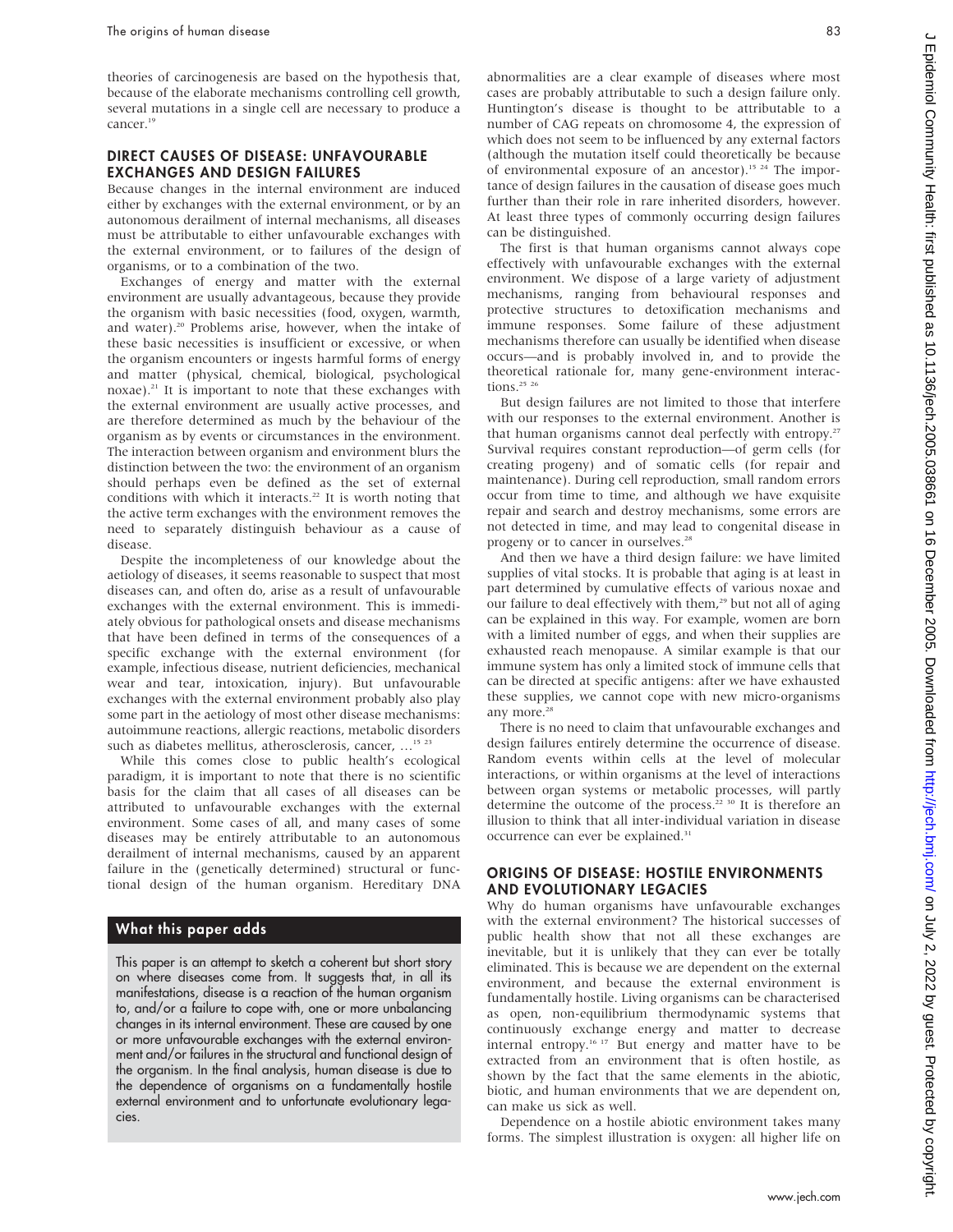theories of carcinogenesis are based on the hypothesis that, because of the elaborate mechanisms controlling cell growth, several mutations in a single cell are necessary to produce a cancer.<sup>19</sup>

#### DIRECT CAUSES OF DISEASE: UNFAVOURABLE EXCHANGES AND DESIGN FAILURES

Because changes in the internal environment are induced either by exchanges with the external environment, or by an autonomous derailment of internal mechanisms, all diseases must be attributable to either unfavourable exchanges with the external environment, or to failures of the design of organisms, or to a combination of the two.

Exchanges of energy and matter with the external environment are usually advantageous, because they provide the organism with basic necessities (food, oxygen, warmth, and water).<sup>20</sup> Problems arise, however, when the intake of these basic necessities is insufficient or excessive, or when the organism encounters or ingests harmful forms of energy and matter (physical, chemical, biological, psychological noxae).<sup>21</sup> It is important to note that these exchanges with the external environment are usually active processes, and are therefore determined as much by the behaviour of the organism as by events or circumstances in the environment. The interaction between organism and environment blurs the distinction between the two: the environment of an organism should perhaps even be defined as the set of external conditions with which it interacts.<sup>22</sup> It is worth noting that the active term exchanges with the environment removes the need to separately distinguish behaviour as a cause of disease.

Despite the incompleteness of our knowledge about the aetiology of diseases, it seems reasonable to suspect that most diseases can, and often do, arise as a result of unfavourable exchanges with the external environment. This is immediately obvious for pathological onsets and disease mechanisms that have been defined in terms of the consequences of a specific exchange with the external environment (for example, infectious disease, nutrient deficiencies, mechanical wear and tear, intoxication, injury). But unfavourable exchanges with the external environment probably also play some part in the aetiology of most other disease mechanisms: autoimmune reactions, allergic reactions, metabolic disorders such as diabetes mellitus, atherosclerosis, cancer, ...<sup>15</sup><sup>23</sup>

While this comes close to public health's ecological paradigm, it is important to note that there is no scientific basis for the claim that all cases of all diseases can be attributed to unfavourable exchanges with the external environment. Some cases of all, and many cases of some diseases may be entirely attributable to an autonomous derailment of internal mechanisms, caused by an apparent failure in the (genetically determined) structural or functional design of the human organism. Hereditary DNA

## What this paper adds

This paper is an attempt to sketch a coherent but short story on where diseases come from. It suggests that, in all its manifestations, disease is a reaction of the human organism to, and/or a failure to cope with, one or more unbalancing changes in its internal environment. These are caused by one or more unfavourable exchanges with the external environment and/or failures in the structural and functional design of the organism. In the final analysis, human disease is due to the dependence of organisms on a fundamentally hostile external environment and to unfortunate evolutionary legacies.

abnormalities are a clear example of diseases where most cases are probably attributable to such a design failure only. Huntington's disease is thought to be attributable to a number of CAG repeats on chromosome 4, the expression of which does not seem to be influenced by any external factors (although the mutation itself could theoretically be because of environmental exposure of an ancestor).<sup>15 24</sup> The importance of design failures in the causation of disease goes much further than their role in rare inherited disorders, however. At least three types of commonly occurring design failures can be distinguished.

The first is that human organisms cannot always cope effectively with unfavourable exchanges with the external environment. We dispose of a large variety of adjustment mechanisms, ranging from behavioural responses and protective structures to detoxification mechanisms and immune responses. Some failure of these adjustment mechanisms therefore can usually be identified when disease occurs—and is probably involved in, and to provide the theoretical rationale for, many gene-environment interactions.<sup>25</sup> <sup>26</sup>

But design failures are not limited to those that interfere with our responses to the external environment. Another is that human organisms cannot deal perfectly with entropy.<sup>27</sup> Survival requires constant reproduction—of germ cells (for creating progeny) and of somatic cells (for repair and maintenance). During cell reproduction, small random errors occur from time to time, and although we have exquisite repair and search and destroy mechanisms, some errors are not detected in time, and may lead to congenital disease in progeny or to cancer in ourselves.<sup>28</sup>

And then we have a third design failure: we have limited supplies of vital stocks. It is probable that aging is at least in part determined by cumulative effects of various noxae and our failure to deal effectively with them,<sup>29</sup> but not all of aging can be explained in this way. For example, women are born with a limited number of eggs, and when their supplies are exhausted reach menopause. A similar example is that our immune system has only a limited stock of immune cells that can be directed at specific antigens: after we have exhausted these supplies, we cannot cope with new micro-organisms any more.<sup>28</sup>

There is no need to claim that unfavourable exchanges and design failures entirely determine the occurrence of disease. Random events within cells at the level of molecular interactions, or within organisms at the level of interactions between organ systems or metabolic processes, will partly determine the outcome of the process.<sup>22 30</sup> It is therefore an illusion to think that all inter-individual variation in disease occurrence can ever be explained.<sup>31</sup>

#### ORIGINS OF DISEASE: HOSTILE ENVIRONMENTS AND EVOLUTIONARY LEGACIES

Why do human organisms have unfavourable exchanges with the external environment? The historical successes of public health show that not all these exchanges are inevitable, but it is unlikely that they can ever be totally eliminated. This is because we are dependent on the external environment, and because the external environment is fundamentally hostile. Living organisms can be characterised as open, non-equilibrium thermodynamic systems that continuously exchange energy and matter to decrease internal entropy.16 17 But energy and matter have to be extracted from an environment that is often hostile, as shown by the fact that the same elements in the abiotic, biotic, and human environments that we are dependent on, can make us sick as well.

Dependence on a hostile abiotic environment takes many forms. The simplest illustration is oxygen: all higher life on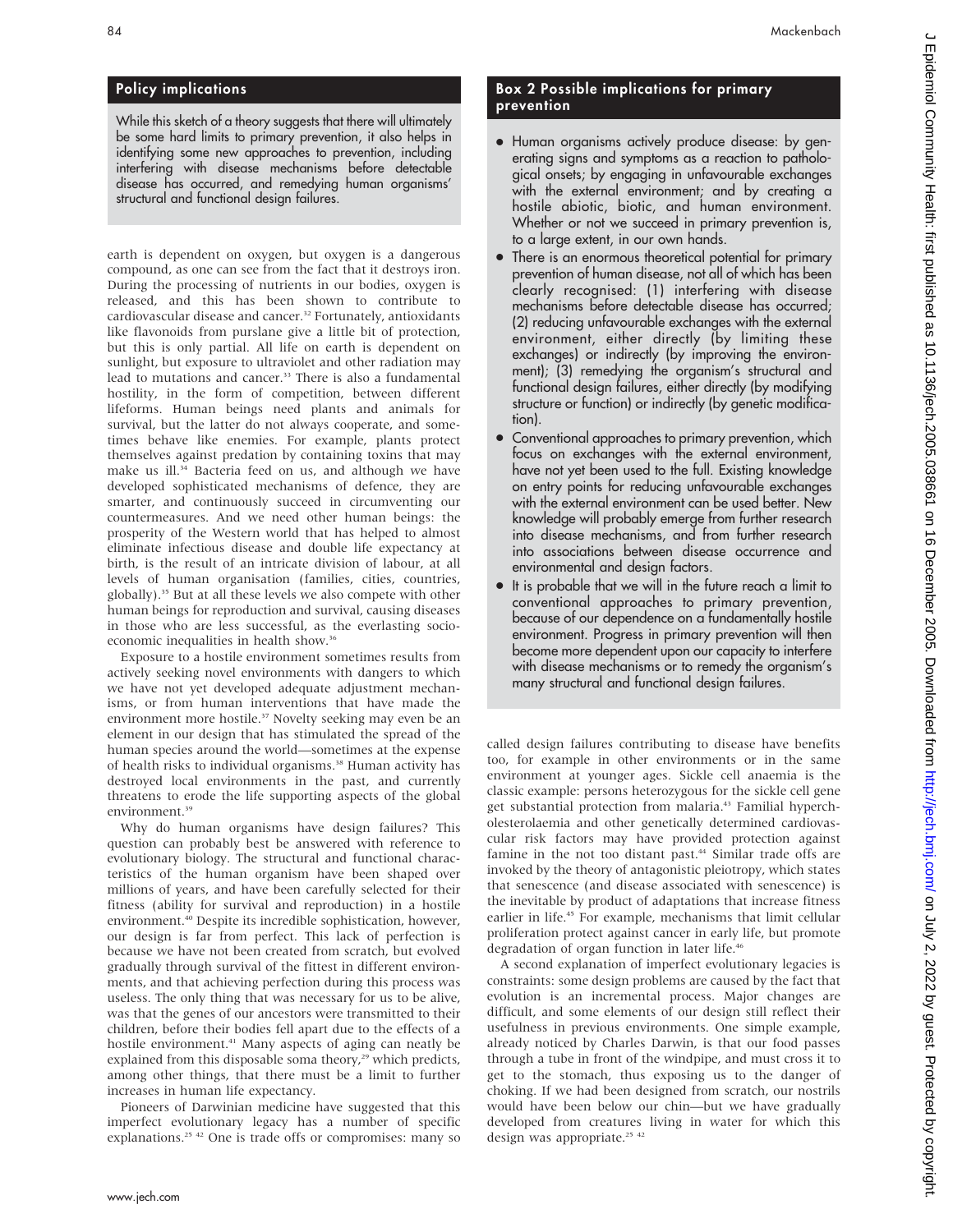## Policy implications

While this sketch of a theory suggests that there will ultimately be some hard limits to primary prevention, it also helps in identifying some new approaches to prevention, including interfering with disease mechanisms before detectable disease has occurred, and remedying human organisms' structural and functional design failures.

earth is dependent on oxygen, but oxygen is a dangerous compound, as one can see from the fact that it destroys iron. During the processing of nutrients in our bodies, oxygen is released, and this has been shown to contribute to cardiovascular disease and cancer.<sup>32</sup> Fortunately, antioxidants like flavonoids from purslane give a little bit of protection, but this is only partial. All life on earth is dependent on sunlight, but exposure to ultraviolet and other radiation may lead to mutations and cancer.<sup>33</sup> There is also a fundamental hostility, in the form of competition, between different lifeforms. Human beings need plants and animals for survival, but the latter do not always cooperate, and sometimes behave like enemies. For example, plants protect themselves against predation by containing toxins that may make us ill.<sup>34</sup> Bacteria feed on us, and although we have developed sophisticated mechanisms of defence, they are smarter, and continuously succeed in circumventing our countermeasures. And we need other human beings: the prosperity of the Western world that has helped to almost eliminate infectious disease and double life expectancy at birth, is the result of an intricate division of labour, at all levels of human organisation (families, cities, countries, globally).35 But at all these levels we also compete with other human beings for reproduction and survival, causing diseases in those who are less successful, as the everlasting socioeconomic inequalities in health show.36

Exposure to a hostile environment sometimes results from actively seeking novel environments with dangers to which we have not yet developed adequate adjustment mechanisms, or from human interventions that have made the environment more hostile.<sup>37</sup> Novelty seeking may even be an element in our design that has stimulated the spread of the human species around the world—sometimes at the expense of health risks to individual organisms.<sup>38</sup> Human activity has destroyed local environments in the past, and currently threatens to erode the life supporting aspects of the global environment.<sup>39</sup>

Why do human organisms have design failures? This question can probably best be answered with reference to evolutionary biology. The structural and functional characteristics of the human organism have been shaped over millions of years, and have been carefully selected for their fitness (ability for survival and reproduction) in a hostile environment.<sup>40</sup> Despite its incredible sophistication, however, our design is far from perfect. This lack of perfection is because we have not been created from scratch, but evolved gradually through survival of the fittest in different environments, and that achieving perfection during this process was useless. The only thing that was necessary for us to be alive, was that the genes of our ancestors were transmitted to their children, before their bodies fell apart due to the effects of a hostile environment.<sup>41</sup> Many aspects of aging can neatly be explained from this disposable soma theory,<sup>29</sup> which predicts, among other things, that there must be a limit to further increases in human life expectancy.

Pioneers of Darwinian medicine have suggested that this imperfect evolutionary legacy has a number of specific explanations.<sup>25 42</sup> One is trade offs or compromises: many so

## Box 2 Possible implications for primary prevention

- Human organisms actively produce disease: by generating signs and symptoms as a reaction to pathological onsets; by engaging in unfavourable exchanges with the external environment; and by creating a hostile abiotic, biotic, and human environment. Whether or not we succeed in primary prevention is, to a large extent, in our own hands.
- There is an enormous theoretical potential for primary prevention of human disease, not all of which has been clearly recognised: (1) interfering with disease mechanisms before detectable disease has occurred; (2) reducing unfavourable exchanges with the external environment, either directly (by limiting these exchanges) or indirectly (by improving the environment); (3) remedying the organism's structural and functional design failures, either directly (by modifying structure or function) or indirectly (by genetic modification).
- Conventional approaches to primary prevention, which focus on exchanges with the external environment, have not yet been used to the full. Existing knowledge on entry points for reducing unfavourable exchanges with the external environment can be used better. New knowledge will probably emerge from further research into disease mechanisms, and from further research into associations between disease occurrence and environmental and design factors.
- It is probable that we will in the future reach a limit to conventional approaches to primary prevention, because of our dependence on a fundamentally hostile environment. Progress in primary prevention will then become more dependent upon our capacity to interfere with disease mechanisms or to remedy the organism's many structural and functional design failures.

called design failures contributing to disease have benefits too, for example in other environments or in the same environment at younger ages. Sickle cell anaemia is the classic example: persons heterozygous for the sickle cell gene get substantial protection from malaria.<sup>43</sup> Familial hypercholesterolaemia and other genetically determined cardiovascular risk factors may have provided protection against famine in the not too distant past.<sup>44</sup> Similar trade offs are invoked by the theory of antagonistic pleiotropy, which states that senescence (and disease associated with senescence) is the inevitable by product of adaptations that increase fitness earlier in life.<sup>45</sup> For example, mechanisms that limit cellular proliferation protect against cancer in early life, but promote degradation of organ function in later life.<sup>46</sup>

A second explanation of imperfect evolutionary legacies is constraints: some design problems are caused by the fact that evolution is an incremental process. Major changes are difficult, and some elements of our design still reflect their usefulness in previous environments. One simple example, already noticed by Charles Darwin, is that our food passes through a tube in front of the windpipe, and must cross it to get to the stomach, thus exposing us to the danger of choking. If we had been designed from scratch, our nostrils would have been below our chin—but we have gradually developed from creatures living in water for which this design was appropriate.<sup>25 42</sup>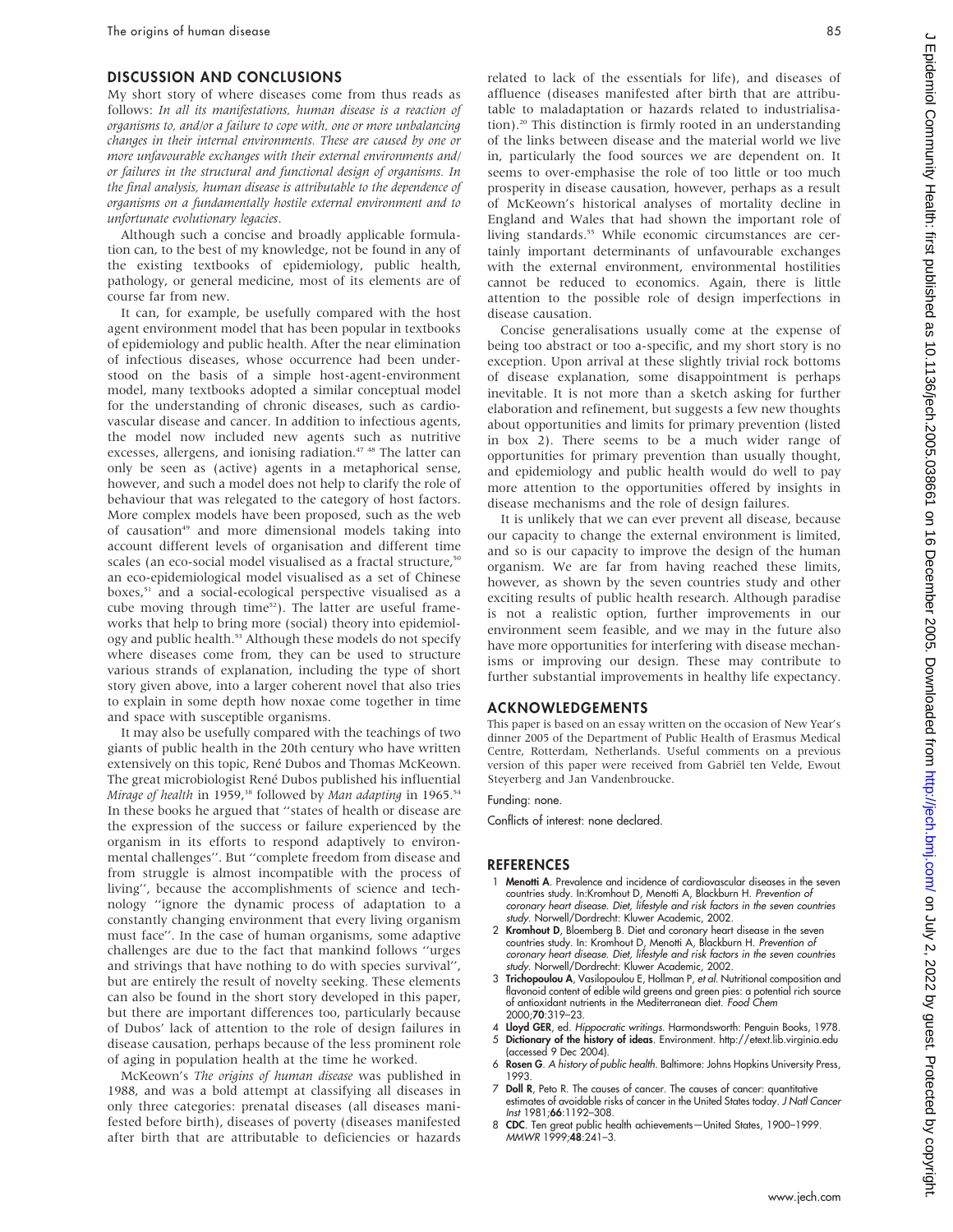#### DISCUSSION AND CONCLUSIONS

My short story of where diseases come from thus reads as follows: In all its manifestations, human disease is a reaction of organisms to, and/or a failure to cope with, one or more unbalancing changes in their internal environments. These are caused by one or more unfavourable exchanges with their external environments and/ or failures in the structural and functional design of organisms. In the final analysis, human disease is attributable to the dependence of organisms on a fundamentally hostile external environment and to unfortunate evolutionary legacies.

Although such a concise and broadly applicable formulation can, to the best of my knowledge, not be found in any of the existing textbooks of epidemiology, public health, pathology, or general medicine, most of its elements are of course far from new.

It can, for example, be usefully compared with the host agent environment model that has been popular in textbooks of epidemiology and public health. After the near elimination of infectious diseases, whose occurrence had been understood on the basis of a simple host-agent-environment model, many textbooks adopted a similar conceptual model for the understanding of chronic diseases, such as cardiovascular disease and cancer. In addition to infectious agents, the model now included new agents such as nutritive excesses, allergens, and ionising radiation.<sup>47 48</sup> The latter can only be seen as (active) agents in a metaphorical sense, however, and such a model does not help to clarify the role of behaviour that was relegated to the category of host factors. More complex models have been proposed, such as the web of causation<sup>49</sup> and more dimensional models taking into account different levels of organisation and different time scales (an eco-social model visualised as a fractal structure,<sup>50</sup> an eco-epidemiological model visualised as a set of Chinese boxes,<sup>51</sup> and a social-ecological perspective visualised as a cube moving through time<sup>52</sup>). The latter are useful frameworks that help to bring more (social) theory into epidemiology and public health.<sup>53</sup> Although these models do not specify where diseases come from, they can be used to structure various strands of explanation, including the type of short story given above, into a larger coherent novel that also tries to explain in some depth how noxae come together in time and space with susceptible organisms.

It may also be usefully compared with the teachings of two giants of public health in the 20th century who have written extensively on this topic, René Dubos and Thomas McKeown. The great microbiologist René Dubos published his influential Mirage of health in 1959,<sup>38</sup> followed by Man adapting in 1965.<sup>54</sup> In these books he argued that ''states of health or disease are the expression of the success or failure experienced by the organism in its efforts to respond adaptively to environmental challenges''. But ''complete freedom from disease and from struggle is almost incompatible with the process of living'', because the accomplishments of science and technology ''ignore the dynamic process of adaptation to a constantly changing environment that every living organism must face''. In the case of human organisms, some adaptive challenges are due to the fact that mankind follows ''urges and strivings that have nothing to do with species survival'', but are entirely the result of novelty seeking. These elements can also be found in the short story developed in this paper, but there are important differences too, particularly because of Dubos' lack of attention to the role of design failures in disease causation, perhaps because of the less prominent role of aging in population health at the time he worked.

McKeown's The origins of human disease was published in 1988, and was a bold attempt at classifying all diseases in only three categories: prenatal diseases (all diseases manifested before birth), diseases of poverty (diseases manifested after birth that are attributable to deficiencies or hazards related to lack of the essentials for life), and diseases of affluence (diseases manifested after birth that are attributable to maladaptation or hazards related to industrialisation).20 This distinction is firmly rooted in an understanding of the links between disease and the material world we live in, particularly the food sources we are dependent on. It seems to over-emphasise the role of too little or too much prosperity in disease causation, however, perhaps as a result of McKeown's historical analyses of mortality decline in England and Wales that had shown the important role of living standards.<sup>55</sup> While economic circumstances are certainly important determinants of unfavourable exchanges with the external environment, environmental hostilities cannot be reduced to economics. Again, there is little attention to the possible role of design imperfections in disease causation.

Concise generalisations usually come at the expense of being too abstract or too a-specific, and my short story is no exception. Upon arrival at these slightly trivial rock bottoms of disease explanation, some disappointment is perhaps inevitable. It is not more than a sketch asking for further elaboration and refinement, but suggests a few new thoughts about opportunities and limits for primary prevention (listed in box 2). There seems to be a much wider range of opportunities for primary prevention than usually thought, and epidemiology and public health would do well to pay more attention to the opportunities offered by insights in disease mechanisms and the role of design failures.

It is unlikely that we can ever prevent all disease, because our capacity to change the external environment is limited, and so is our capacity to improve the design of the human organism. We are far from having reached these limits, however, as shown by the seven countries study and other exciting results of public health research. Although paradise is not a realistic option, further improvements in our environment seem feasible, and we may in the future also have more opportunities for interfering with disease mechanisms or improving our design. These may contribute to further substantial improvements in healthy life expectancy.

#### ACKNOWLEDGEMENTS

This paper is based on an essay written on the occasion of New Year's dinner 2005 of the Department of Public Health of Erasmus Medical Centre, Rotterdam, Netherlands. Useful comments on a previous version of this paper were received from Gabriël ten Velde, Ewout Steyerberg and Jan Vandenbroucke.

Funding: none.

Conflicts of interest: none declared.

#### **REFERENCES**

- 1 Menotti A. Prevalence and incidence of cardiovascular diseases in the seven countries study. In:Kromhout D, Menotti A, Blackburn H. Prevention of coronary heart disease. Diet, lifestyle and risk factors in the seven countries study. Norwell/Dordrecht: Kluwer Academic, 2002.
- 2 Kromhout D, Bloemberg B. Diet and coronary heart disease in the seven countries study. In: Kromhout D, Menotti A, Blackburn H. Prevention of coronary heart disease. Diet, lifestyle and risk factors in the seven countries study. Norwell/Dordrecht: Kluwer Academic, 2002.
- 3 Trichopoulou A, Vasilopoulou E, Hollman P, et al. Nutritional composition and flavonoid content of edible wild greens and green pies: a potential rich source of antioxidant nutrients in the Mediterranean diet. Food Chem 2000;70:319–23.
- 4 Lloyd GER, ed. Hippocratic writings. Harmondsworth: Penguin Books, 1978.
- 5 Dictionary of the history of ideas. Environment. http://etext.lib.virginia.edu (accessed 9 Dec 2004).
- 6 Rosen G. A history of public health. Baltimore: Johns Hopkins University Press, 1993.
- 7 Doll R, Peto R. The causes of cancer. The causes of cancer: quantitative estimates of avoidable risks of cancer in the United States today. J Natl Cancer Inst 1981;66:1192–308.
- 8 CDC. Ten great public health achievements—United States, 1900–1999. MMWR 1999;48:241–3.